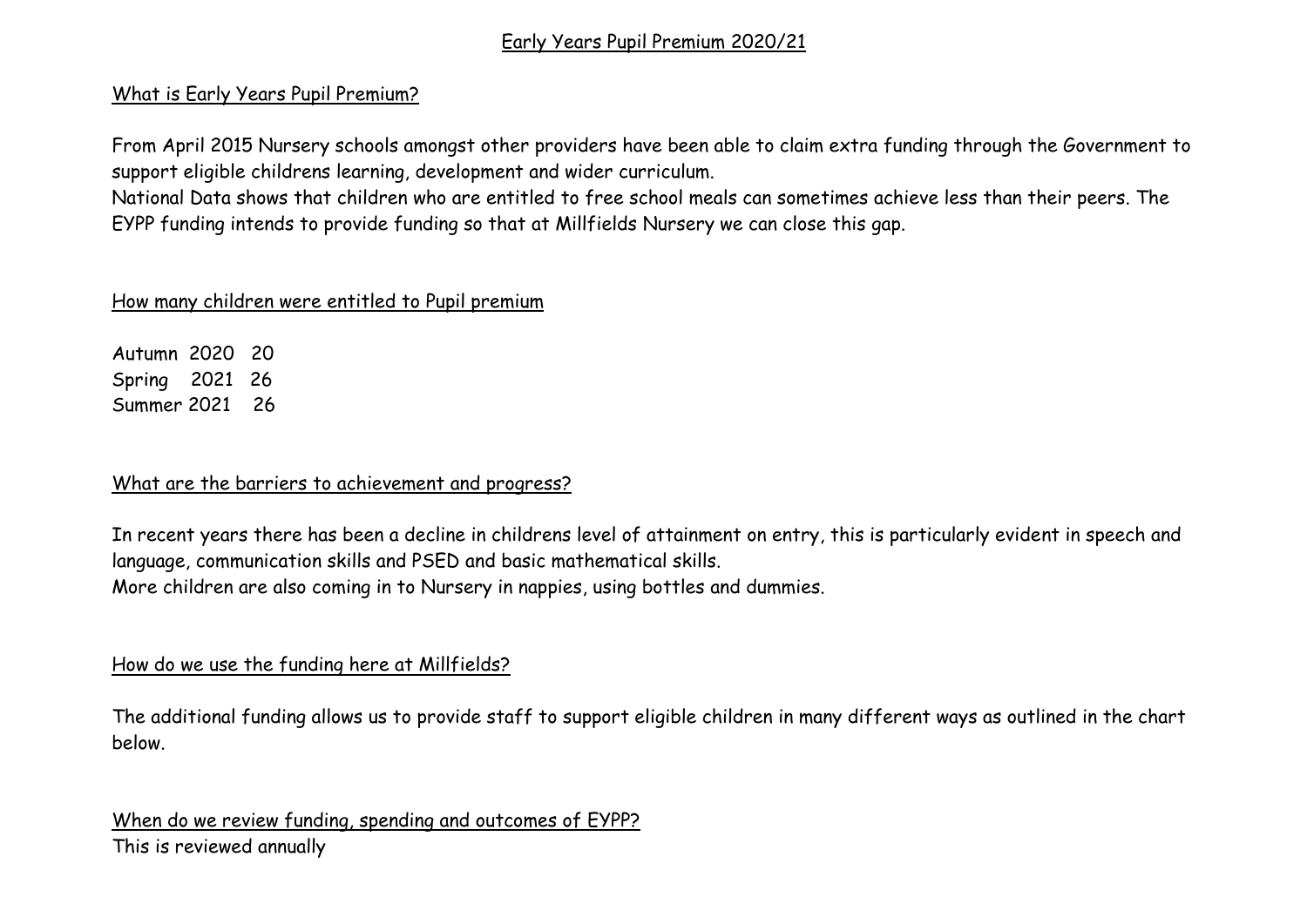## Early Years Pupil Premium 2020/21

#### What is Early Years Pupil Premium?

From April 2015 Nursery schools amongst other providers have been able to claim extra funding through the Government to support eligible childrens learning, development and wider curriculum.

National Data shows that children who are entitled to free school meals can sometimes achieve less than their peers. The EYPP funding intends to provide funding so that at Millfields Nursery we can close this gap.

#### How many children were entitled to Pupil premium

Autumn 2020 20 Spring 2021 26 Summer 2021 26

### What are the barriers to achievement and progress?

In recent years there has been a decline in childrens level of attainment on entry, this is particularly evident in speech and language, communication skills and PSED and basic mathematical skills. More children are also coming in to Nursery in nappies, using bottles and dummies.

# How do we use the funding here at Millfields?

The additional funding allows us to provide staff to support eligible children in many different ways as outlined in the chart below.

When do we review funding, spending and outcomes of EYPP? This is reviewed annually